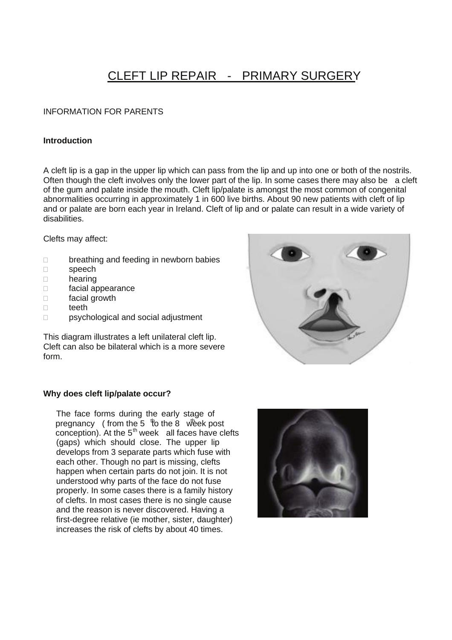# CLEFT LIP REPAIR - PRIMARY SURGERY

# INFORMATION FOR PARENTS

## **Introduction**

A cleft lip is a gap in the upper lip which can pass from the lip and up into one or both of the nostrils. Often though the cleft involves only the lower part of the lip. In some cases there may also be a cleft of the gum and palate inside the mouth. Cleft lip/palate is amongst the most common of congenital abnormalities occurring in approximately 1 in 600 live births. About 90 new patients with cleft of lip and or palate are born each year in Ireland. Cleft of lip and or palate can result in a wide variety of disabilities.

Clefts may affect:

- D breathing and feeding in newborn babies
- □ speech
- hearing
- facial appearance
- □ facial growth
- $\Box$  teeth
- □ psychological and social adjustment

This diagram illustrates a left unilateral cleft lip. Cleft can also be bilateral which is a more severe form.



#### **Why does cleft lip/palate occur?**

The face forms during the early stage of pregnancy ( from the 5  $\sqrt[4]{6}$  the 8 week post conception). At the  $5<sup>th</sup>$  week all faces have clefts (gaps) which should close. The upper lip develops from 3 separate parts which fuse with each other. Though no part is missing, clefts happen when certain parts do not join. It is not understood why parts of the face do not fuse properly. In some cases there is a family history of clefts. In most cases there is no single cause and the reason is never discovered. Having a first-degree relative (ie mother, sister, daughter) increases the risk of clefts by about 40 times.

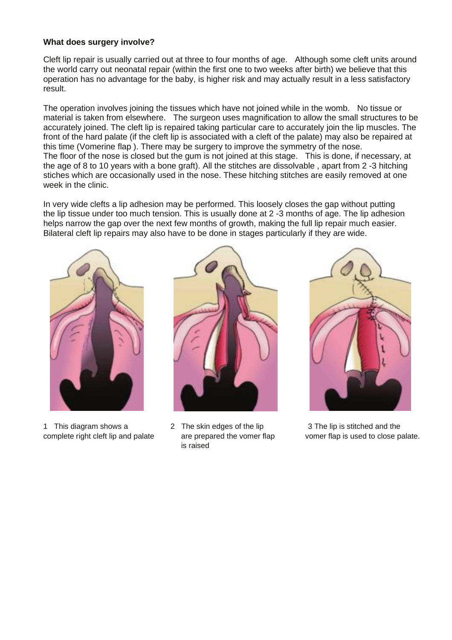## **What does surgery involve?**

Cleft lip repair is usually carried out at three to four months of age. Although some cleft units around the world carry out neonatal repair (within the first one to two weeks after birth) we believe that this operation has no advantage for the baby, is higher risk and may actually result in a less satisfactory result.

The operation involves joining the tissues which have not joined while in the womb. No tissue or material is taken from elsewhere. The surgeon uses magnification to allow the small structures to be accurately joined. The cleft lip is repaired taking particular care to accurately join the lip muscles. The front of the hard palate (if the cleft lip is associated with a cleft of the palate) may also be repaired at this time (Vomerine flap ). There may be surgery to improve the symmetry of the nose. The floor of the nose is closed but the gum is not joined at this stage. This is done, if necessary, at the age of 8 to 10 years with a bone graft). All the stitches are dissolvable , apart from 2 -3 hitching stiches which are occasionally used in the nose. These hitching stitches are easily removed at one week in the clinic.

In very wide clefts a lip adhesion may be performed. This loosely closes the gap without putting the lip tissue under too much tension. This is usually done at 2 -3 months of age. The lip adhesion helps narrow the gap over the next few months of growth, making the full lip repair much easier. Bilateral cleft lip repairs may also have to be done in stages particularly if they are wide.



1 This diagram shows a 2 The skin edges of the lip 3 The lip is stitched and the



is raised



complete right cleft lip and palate are prepared the vomer flap vomer flap is used to close palate.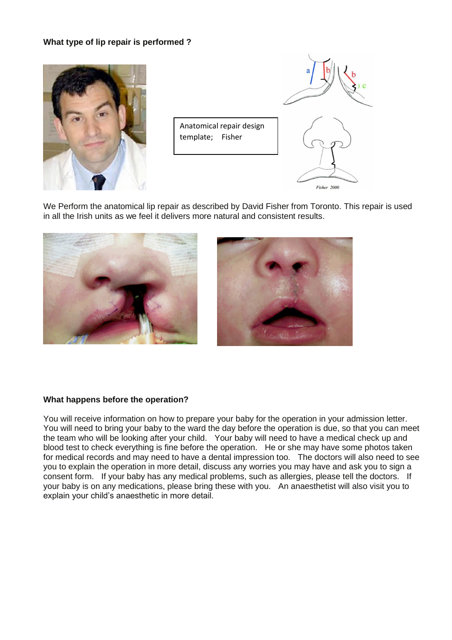# **What type of lip repair is performed ?**



Anatomical repair design template; Fisher

We Perform the anatomical lip repair as described by David Fisher from Toronto. This repair is used in all the Irish units as we feel it delivers more natural and consistent results.





Fisher 2000

## **What happens before the operation?**

You will receive information on how to prepare your baby for the operation in your admission letter. You will need to bring your baby to the ward the day before the operation is due, so that you can meet the team who will be looking after your child. Your baby will need to have a medical check up and blood test to check everything is fine before the operation. He or she may have some photos taken for medical records and may need to have a dental impression too. The doctors will also need to see you to explain the operation in more detail, discuss any worries you may have and ask you to sign a consent form. If your baby has any medical problems, such as allergies, please tell the doctors. If your baby is on any medications, please bring these with you. An anaesthetist will also visit you to explain your child's anaesthetic in more detail.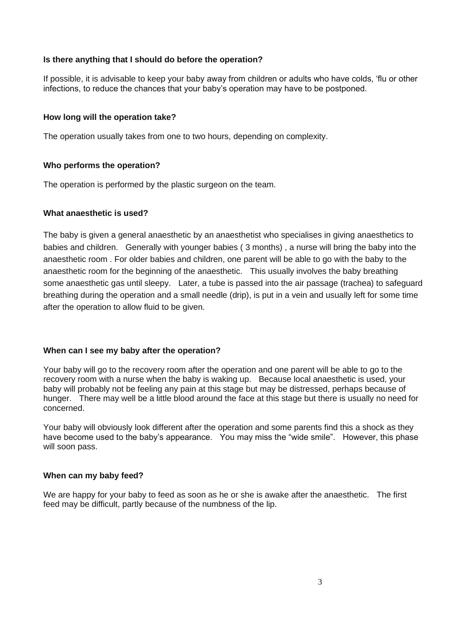## **Is there anything that I should do before the operation?**

If possible, it is advisable to keep your baby away from children or adults who have colds, 'flu or other infections, to reduce the chances that your baby's operation may have to be postponed.

#### **How long will the operation take?**

The operation usually takes from one to two hours, depending on complexity.

#### **Who performs the operation?**

The operation is performed by the plastic surgeon on the team.

#### **What anaesthetic is used?**

The baby is given a general anaesthetic by an anaesthetist who specialises in giving anaesthetics to babies and children. Generally with younger babies ( 3 months) , a nurse will bring the baby into the anaesthetic room . For older babies and children, one parent will be able to go with the baby to the anaesthetic room for the beginning of the anaesthetic. This usually involves the baby breathing some anaesthetic gas until sleepy. Later, a tube is passed into the air passage (trachea) to safeguard breathing during the operation and a small needle (drip), is put in a vein and usually left for some time after the operation to allow fluid to be given.

## **When can I see my baby after the operation?**

Your baby will go to the recovery room after the operation and one parent will be able to go to the recovery room with a nurse when the baby is waking up. Because local anaesthetic is used, your baby will probably not be feeling any pain at this stage but may be distressed, perhaps because of hunger. There may well be a little blood around the face at this stage but there is usually no need for concerned.

Your baby will obviously look different after the operation and some parents find this a shock as they have become used to the baby's appearance. You may miss the "wide smile". However, this phase will soon pass.

#### **When can my baby feed?**

We are happy for your baby to feed as soon as he or she is awake after the anaesthetic. The first feed may be difficult, partly because of the numbness of the lip.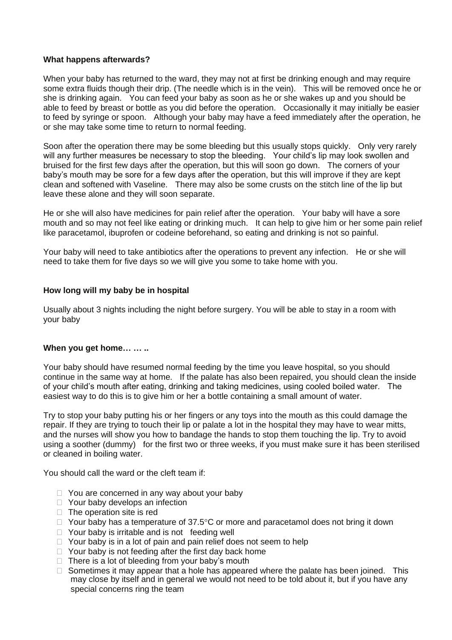## **What happens afterwards?**

When your baby has returned to the ward, they may not at first be drinking enough and may require some extra fluids though their drip. (The needle which is in the vein). This will be removed once he or she is drinking again. You can feed your baby as soon as he or she wakes up and you should be able to feed by breast or bottle as you did before the operation. Occasionally it may initially be easier to feed by syringe or spoon. Although your baby may have a feed immediately after the operation, he or she may take some time to return to normal feeding.

Soon after the operation there may be some bleeding but this usually stops quickly. Only very rarely will any further measures be necessary to stop the bleeding. Your child's lip may look swollen and bruised for the first few days after the operation, but this will soon go down. The corners of your baby's mouth may be sore for a few days after the operation, but this will improve if they are kept clean and softened with Vaseline. There may also be some crusts on the stitch line of the lip but leave these alone and they will soon separate.

He or she will also have medicines for pain relief after the operation. Your baby will have a sore mouth and so may not feel like eating or drinking much. It can help to give him or her some pain relief like paracetamol, ibuprofen or codeine beforehand, so eating and drinking is not so painful.

Your baby will need to take antibiotics after the operations to prevent any infection. He or she will need to take them for five days so we will give you some to take home with you.

#### **How long will my baby be in hospital**

Usually about 3 nights including the night before surgery. You will be able to stay in a room with your baby

## **When you get home… … ..**

Your baby should have resumed normal feeding by the time you leave hospital, so you should continue in the same way at home. If the palate has also been repaired, you should clean the inside of your child's mouth after eating, drinking and taking medicines, using cooled boiled water. The easiest way to do this is to give him or her a bottle containing a small amount of water.

Try to stop your baby putting his or her fingers or any toys into the mouth as this could damage the repair. If they are trying to touch their lip or palate a lot in the hospital they may have to wear mitts, and the nurses will show you how to bandage the hands to stop them touching the lip. Try to avoid using a soother (dummy) for the first two or three weeks, if you must make sure it has been sterilised or cleaned in boiling water.

You should call the ward or the cleft team if:

- $\Box$  You are concerned in any way about your baby
- □ Your baby develops an infection
- $\Box$  The operation site is red
- $\Box$  Your baby has a temperature of 37.5°C or more and paracetamol does not bring it down
- $\Box$  Your baby is irritable and is not feeding well
- $\Box$  Your baby is in a lot of pain and pain relief does not seem to help
- $\Box$  Your baby is not feeding after the first day back home
- $\Box$  There is a lot of bleeding from your baby's mouth
- $\Box$  Sometimes it may appear that a hole has appeared where the palate has been joined. This may close by itself and in general we would not need to be told about it, but if you have any special concerns ring the team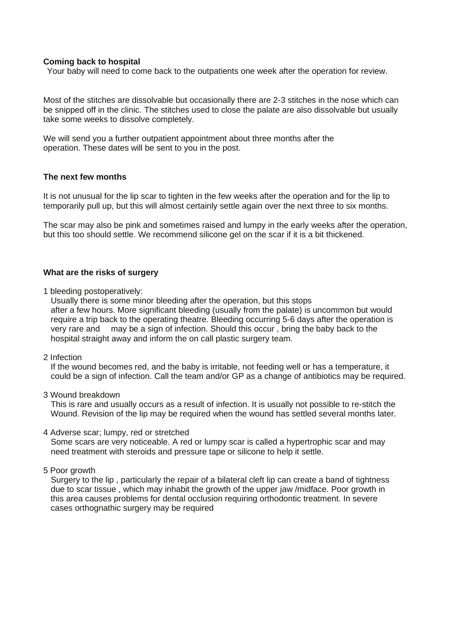#### **Coming back to hospital**

Your baby will need to come back to the outpatients one week after the operation for review.

Most of the stitches are dissolvable but occasionally there are 2-3 stitches in the nose which can be snipped off in the clinic. The stitches used to close the palate are also dissolvable but usually take some weeks to dissolve completely.

We will send you a further outpatient appointment about three months after the operation. These dates will be sent to you in the post.

#### **The next few months**

It is not unusual for the lip scar to tighten in the few weeks after the operation and for the lip to temporarily pull up, but this will almost certainly settle again over the next three to six months.

The scar may also be pink and sometimes raised and lumpy in the early weeks after the operation, but this too should settle. We recommend silicone gel on the scar if it is a bit thickened.

## **What are the risks of surgery**

1 bleeding postoperatively:

 Usually there is some minor bleeding after the operation, but this stops after a few hours. More significant bleeding (usually from the palate) is uncommon but would require a trip back to the operating theatre. Bleeding occurring 5-6 days after the operation is very rare and may be a sign of infection. Should this occur , bring the baby back to the hospital straight away and inform the on call plastic surgery team.

2 Infection

 If the wound becomes red, and the baby is irritable, not feeding well or has a temperature, it could be a sign of infection. Call the team and/or GP as a change of antibiotics may be required.

3 Wound breakdown

 This is rare and usually occurs as a result of infection. It is usually not possible to re-stitch the Wound. Revision of the lip may be required when the wound has settled several months later.

#### 4 Adverse scar; lumpy, red or stretched

 Some scars are very noticeable. A red or lumpy scar is called a hypertrophic scar and may need treatment with steroids and pressure tape or silicone to help it settle.

5 Poor growth

 Surgery to the lip , particularly the repair of a bilateral cleft lip can create a band of tightness due to scar tissue , which may inhabit the growth of the upper jaw /midface. Poor growth in this area causes problems for dental occlusion requiring orthodontic treatment. In severe cases orthognathic surgery may be required